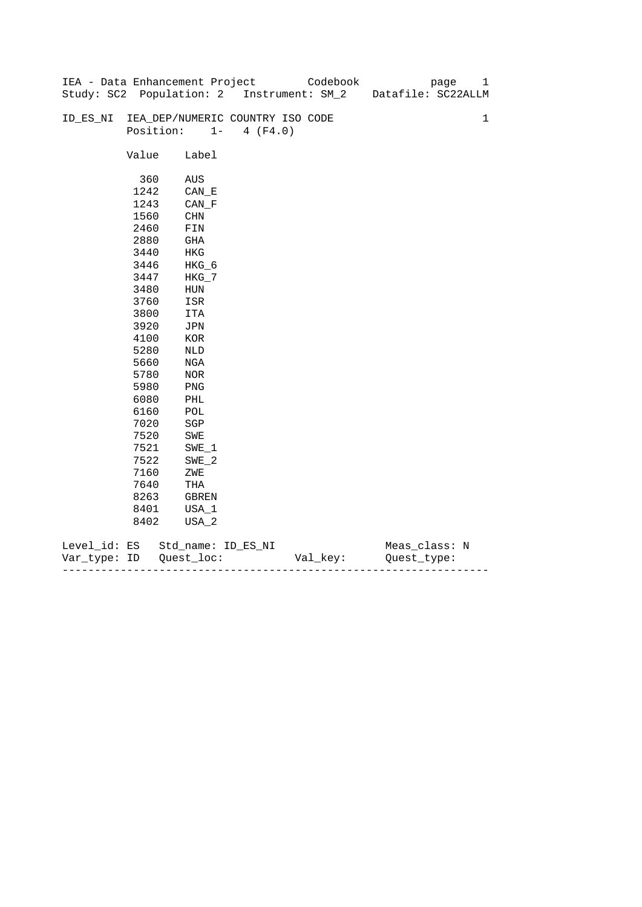|              |       | IEA - Data Enhancement Project            |                   | Codebook | page               | 1           |
|--------------|-------|-------------------------------------------|-------------------|----------|--------------------|-------------|
|              |       | Study: SC2 Population: 2 Instrument: SM_2 |                   |          | Datafile: SC22ALLM |             |
|              |       |                                           |                   |          |                    |             |
| ID_ES_NI     |       | IEA_DEP/NUMERIC COUNTRY ISO CODE          |                   |          |                    | $\mathbf 1$ |
|              |       | Position:                                 | $1 -$<br>4 (F4.0) |          |                    |             |
|              |       |                                           |                   |          |                    |             |
|              | Value | Label                                     |                   |          |                    |             |
|              |       |                                           |                   |          |                    |             |
|              | 360   | AUS                                       |                   |          |                    |             |
|              | 1242  | $CAN$ <sub><math>E</math></sub>           |                   |          |                    |             |
|              | 1243  | $CAN_F$                                   |                   |          |                    |             |
|              | 1560  | <b>CHN</b>                                |                   |          |                    |             |
|              | 2460  | ${\tt FIN}$                               |                   |          |                    |             |
|              | 2880  | GHA                                       |                   |          |                    |             |
|              | 3440  | HKG                                       |                   |          |                    |             |
|              | 3446  | HKG_6                                     |                   |          |                    |             |
|              | 3447  | $HKG_7$                                   |                   |          |                    |             |
|              | 3480  | HUN                                       |                   |          |                    |             |
|              | 3760  | ISR                                       |                   |          |                    |             |
|              | 3800  | ITA                                       |                   |          |                    |             |
|              | 3920  | JPN                                       |                   |          |                    |             |
|              | 4100  | $_{\rm KOR}$                              |                   |          |                    |             |
|              | 5280  | NLD                                       |                   |          |                    |             |
|              | 5660  | NGA                                       |                   |          |                    |             |
|              | 5780  | $_{\rm NOR}$                              |                   |          |                    |             |
|              | 5980  | PNG                                       |                   |          |                    |             |
|              | 6080  | $\rm PHL$                                 |                   |          |                    |             |
|              | 6160  | $\mathop{\rm POL}\nolimits$               |                   |          |                    |             |
|              | 7020  | $_{\rm SGP}$                              |                   |          |                    |             |
|              | 7520  | SWE                                       |                   |          |                    |             |
|              | 7521  | $SWE_1$                                   |                   |          |                    |             |
|              | 7522  | $SWE_2$                                   |                   |          |                    |             |
|              | 7160  | ZWE                                       |                   |          |                    |             |
|              | 7640  | THA                                       |                   |          |                    |             |
|              | 8263  | GBREN                                     |                   |          |                    |             |
|              | 8401  | USA_1                                     |                   |          |                    |             |
|              | 8402  | USA_2                                     |                   |          |                    |             |
| Level_id: ES |       | Std_name: ID_ES_NI                        |                   |          | Meas_class: N      |             |
|              |       |                                           |                   |          |                    |             |

| Var<br>тvpe.<br>. | TΡ | $ -$ | - |
|-------------------|----|------|---|
|                   |    |      |   |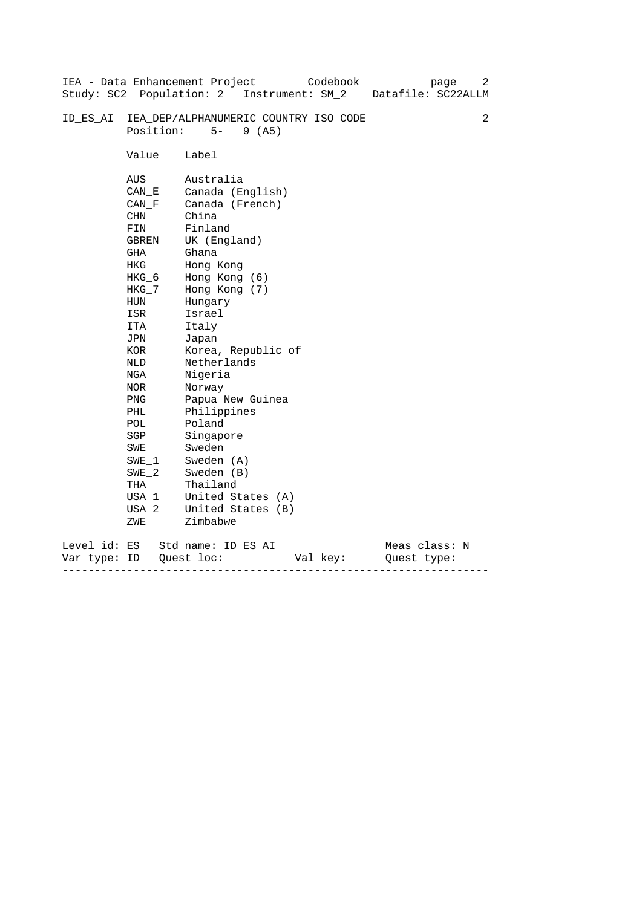|                           |                                                                                                                                                                                                                                               | IEA - Data Enhancement Project<br>Codebook                                                                                                                                                                                                                                                                                                                                                                      | 2<br>page                    |
|---------------------------|-----------------------------------------------------------------------------------------------------------------------------------------------------------------------------------------------------------------------------------------------|-----------------------------------------------------------------------------------------------------------------------------------------------------------------------------------------------------------------------------------------------------------------------------------------------------------------------------------------------------------------------------------------------------------------|------------------------------|
|                           |                                                                                                                                                                                                                                               | Study: SC2 Population: 2 Instrument: SM_2                                                                                                                                                                                                                                                                                                                                                                       | Datafile: SC22ALLM           |
| ID ES AI                  | Position:                                                                                                                                                                                                                                     | IEA_DEP/ALPHANUMERIC COUNTRY ISO CODE<br>$5-$<br>9(AB)                                                                                                                                                                                                                                                                                                                                                          | 2                            |
|                           | Value                                                                                                                                                                                                                                         | Label                                                                                                                                                                                                                                                                                                                                                                                                           |                              |
|                           | AUS<br>CAN E<br>CAN F<br><b>CHN</b><br>FIN<br>GBREN<br>GHA<br>HKG<br>HKG 6<br>$HKG_7$<br>HUN<br>ISR<br>ITA<br>JPN<br>KOR<br>NLD<br>NGA<br>NOR<br><b>PNG</b><br>PHL<br>POL<br>SGP<br>SWE<br>SWE 1<br>$SWE_2$<br>THA<br>$USA_1$<br>USA 2<br>ZWE | Australia<br>Canada (English)<br>Canada (French)<br>China<br>Finland<br>UK (England)<br>Ghana<br>Hong Kong<br>Hong Kong (6)<br>Hong Kong (7)<br>Hungary<br>Israel<br>Italy<br>Japan<br>Korea, Republic of<br>Netherlands<br>Nigeria<br>Norway<br>Papua New Guinea<br>Philippines<br>Poland<br>Singapore<br>Sweden<br>Sweden (A)<br>Sweden (B)<br>Thailand<br>United States (A)<br>United States (B)<br>Zimbabwe |                              |
|                           |                                                                                                                                                                                                                                               |                                                                                                                                                                                                                                                                                                                                                                                                                 |                              |
| Level_id: ES<br>Var_type: | ID                                                                                                                                                                                                                                            | Std name: ID ES AI<br>Quest loc:<br>Val_key:                                                                                                                                                                                                                                                                                                                                                                    | Meas_class: N<br>Ouest type: |

------------------------------------------------------------------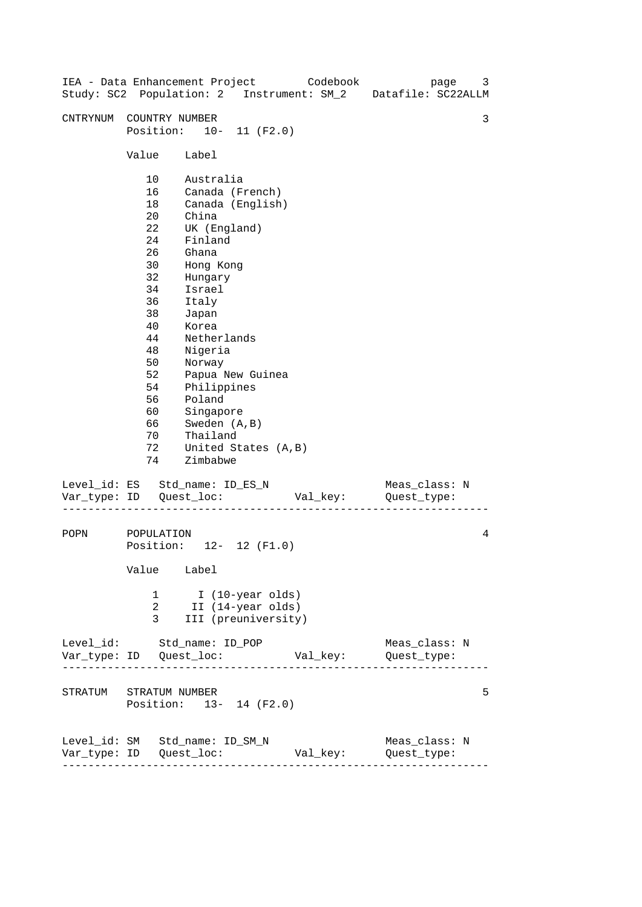| IEA - Data Enhancement Project Codebook |                                                                                                                                        |                                                                                                                                                                                                                            |                                                                                 |          |  | page<br>Study: SC2 Population: 2 Instrument: SM_2 Datafile: SC22ALLM | 3 |  |
|-----------------------------------------|----------------------------------------------------------------------------------------------------------------------------------------|----------------------------------------------------------------------------------------------------------------------------------------------------------------------------------------------------------------------------|---------------------------------------------------------------------------------|----------|--|----------------------------------------------------------------------|---|--|
| CNTRYNUM                                | COUNTRY NUMBER<br>Position: 10- 11 (F2.0)                                                                                              |                                                                                                                                                                                                                            |                                                                                 |          |  |                                                                      | 3 |  |
|                                         | Value                                                                                                                                  | Label                                                                                                                                                                                                                      |                                                                                 |          |  |                                                                      |   |  |
|                                         | 10<br>16<br>18<br>20<br>22<br>24<br>26<br>30<br>32<br>34<br>36<br>38<br>40<br>44<br>48<br>50<br>52<br>54<br>56<br>60<br>66<br>70<br>72 | Australia<br>China<br>UK (England)<br>Finland<br>Ghana<br>Hong Kong<br>Hungary<br>Israel<br>Italy<br>Japan<br>Korea<br>Netherlands<br>Nigeria<br>Norway<br>Philippines<br>Poland<br>Singapore<br>Sweden (A, B)<br>Thailand | Canada (French)<br>Canada (English)<br>Papua New Guinea<br>United States (A, B) |          |  |                                                                      |   |  |
| Level_id: ES Std_name: ID_ES_N          | 74                                                                                                                                     | Zimbabwe                                                                                                                                                                                                                   |                                                                                 |          |  | Meas_class: N                                                        |   |  |
|                                         |                                                                                                                                        |                                                                                                                                                                                                                            |                                                                                 | Val_key: |  | Quest_type:                                                          |   |  |
| POPN                                    | POPULATION<br>Position: 12- 12 (F1.0)<br>Value Label                                                                                   |                                                                                                                                                                                                                            |                                                                                 |          |  |                                                                      | 4 |  |
|                                         | 1<br>$\overline{2}$<br>3                                                                                                               | I (10-year olds)<br>II (14-year olds)                                                                                                                                                                                      | III (preuniversity)                                                             |          |  |                                                                      |   |  |
| Level_id: Std_name: ID_POP              |                                                                                                                                        |                                                                                                                                                                                                                            |                                                                                 |          |  | Meas_class: N                                                        |   |  |
|                                         | STRATUM STRATUM NUMBER<br>Position: 13- 14 (F2.0)                                                                                      |                                                                                                                                                                                                                            |                                                                                 |          |  | 5                                                                    |   |  |
| Level_id: SM Std_name: ID_SM_N          | ---------------------                                                                                                                  |                                                                                                                                                                                                                            |                                                                                 |          |  | Meas_class: N<br>Val_key: Quest_type:                                |   |  |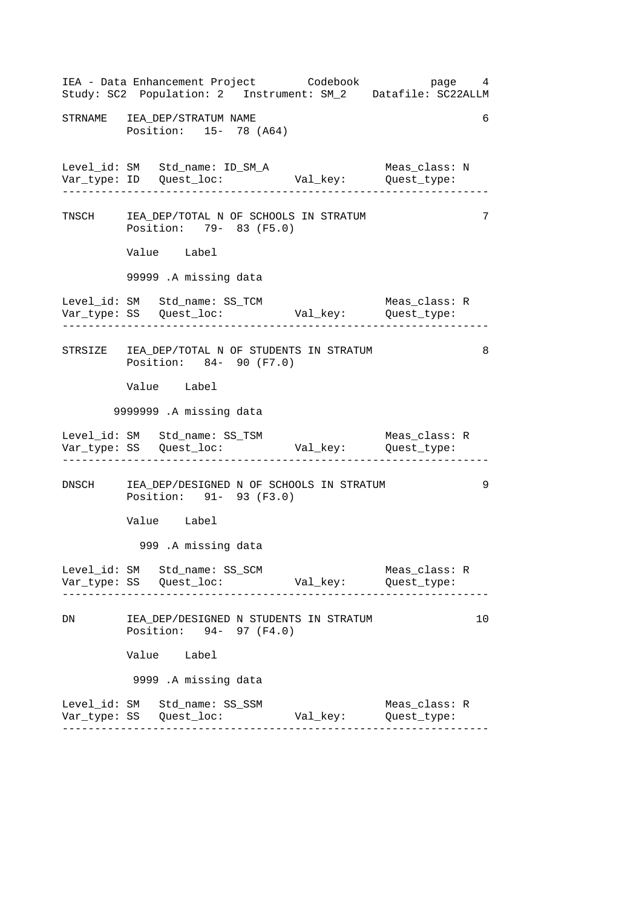------------------------------------------------------------------ ------------------------------------------------------------------ ------------------------------------------------------------------ ------------------------------------------------------------------ ------------------------------------------------------------------ IEA - Data Enhancement Project Codebook page 4 Study: SC2 Population: 2 Instrument: SM\_2 Datafile: SC22ALLM STRNAME IEA DEP/STRATUM NAME 6 Position: 15- 78 (A64) Level\_id: SM Std\_name: ID\_SM\_A Meas\_class: N Var\_type: ID Quest\_loc: Val\_key: Quest\_type: TNSCH IEA\_DEP/TOTAL N OF SCHOOLS IN STRATUM 7 Position: 79- 83 (F5.0) Value Label 99999 .A missing data Level\_id: SM Std\_name: SS\_TCM Meas\_class: R Var\_type: SS Quest\_loc: Val\_key: Quest\_type: STRSIZE IEA DEP/TOTAL N OF STUDENTS IN STRATUM 8 Position: 84- 90 (F7.0) Value Label 9999999 .A missing data Level\_id: SM Std\_name: SS\_TSM Meas\_class: R Var\_type: SS Quest\_loc: Val\_key: Quest\_type: DNSCH IEA\_DEP/DESIGNED N OF SCHOOLS IN STRATUM 9 Position: 91- 93 (F3.0) Value Label 999 .A missing data Level\_id: SM Std\_name: SS\_SCM Meas\_class: R Var\_type: SS Quest\_loc: Val\_key: Quest\_type: DN IEA\_DEP/DESIGNED N STUDENTS IN STRATUM 10 Position: 94- 97 (F4.0) Value Label 9999 .A missing data Level\_id: SM Std\_name: SS\_SSM Meas\_class: R Var\_type: SS Quest\_loc: Val\_key: Quest\_type: